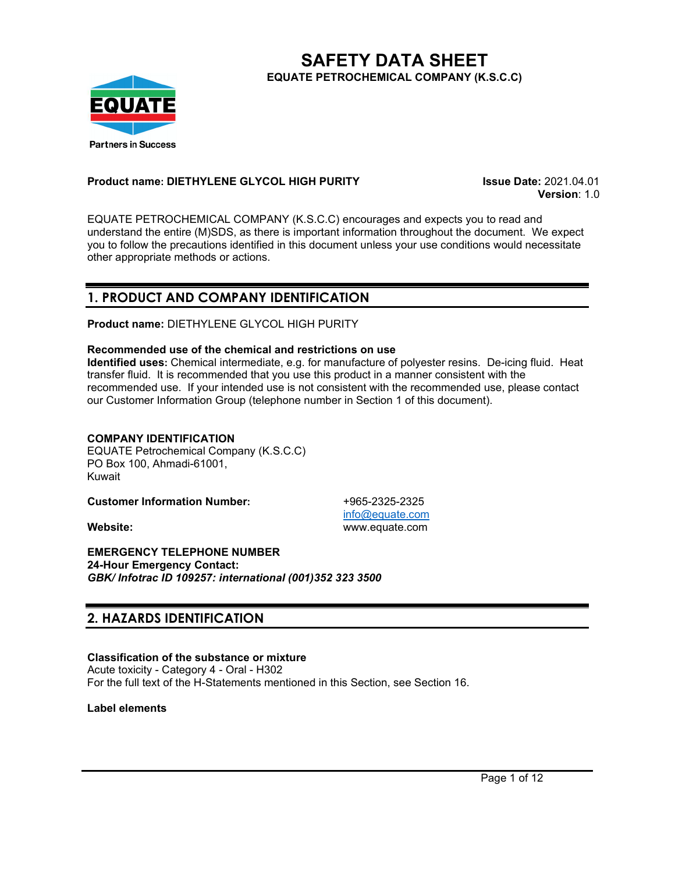

**SAFETY DATA SHEET EQUATE PETROCHEMICAL COMPANY (K.S.C.C)**

### **Product name: DIETHYLENE GLYCOL HIGH PURITY Issue Date:** 2021.04.01

**Version**: 1.0

EQUATE PETROCHEMICAL COMPANY (K.S.C.C) encourages and expects you to read and understand the entire (M)SDS, as there is important information throughout the document. We expect you to follow the precautions identified in this document unless your use conditions would necessitate other appropriate methods or actions.

## **1. PRODUCT AND COMPANY IDENTIFICATION**

**Product name:** DIETHYLENE GLYCOL HIGH PURITY

#### **Recommended use of the chemical and restrictions on use**

**Identified uses:** Chemical intermediate, e.g. for manufacture of polyester resins. De-icing fluid. Heat transfer fluid. It is recommended that you use this product in a manner consistent with the recommended use. If your intended use is not consistent with the recommended use, please contact our Customer Information Group (telephone number in Section 1 of this document).

## **COMPANY IDENTIFICATION**

EQUATE Petrochemical Company (K.S.C.C) PO Box 100, Ahmadi-61001, Kuwait

**Customer Information Number:** +965-2325-2325

**EMERGENCY TELEPHONE NUMBER 24-Hour Emergency Contact:** *GBK/ Infotrac ID 109257: international (001)352 323 3500*

# **2. HAZARDS IDENTIFICATION**

## **Classification of the substance or mixture**

Acute toxicity - Category 4 - Oral - H302 For the full text of the H-Statements mentioned in this Section, see Section 16.

**Label elements**

[info@equate.com](mailto:info@equate.com) **Website:** www.equate.com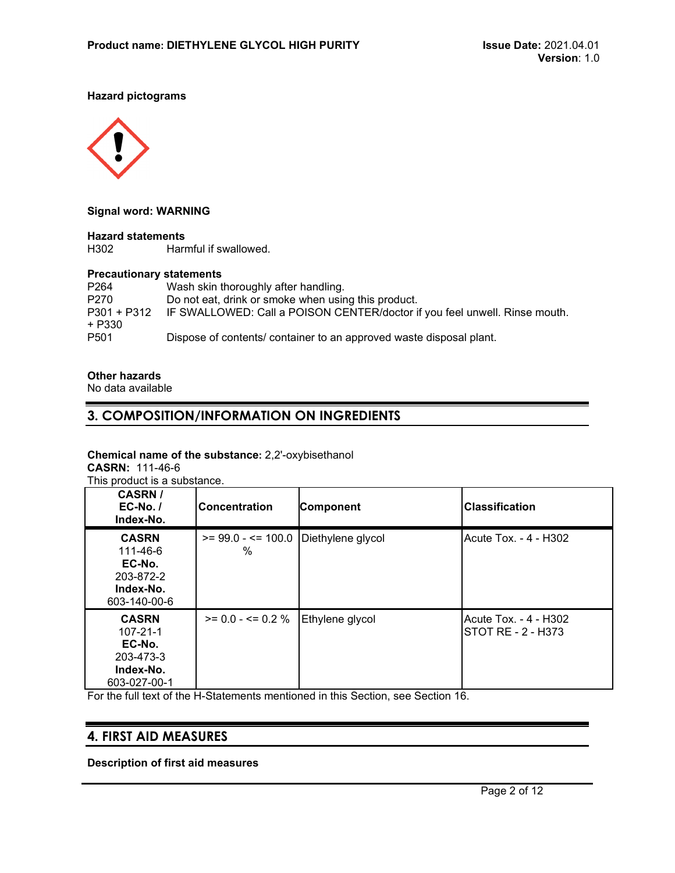#### **Hazard pictograms**



#### **Signal word: WARNING**

# **Hazard statements**

Harmful if swallowed.

# **Precautionary statements**<br>P264 Wash skin t

Wash skin thoroughly after handling. P270 Do not eat, drink or smoke when using this product. P301 + P312 IF SWALLOWED: Call a POISON CENTER/doctor if you feel unwell. Rinse mouth. + P330 P501 Dispose of contents/ container to an approved waste disposal plant.

#### **Other hazards**

No data available

## **3. COMPOSITION/INFORMATION ON INGREDIENTS**

#### **Chemical name of the substance:** 2,2'-oxybisethanol

**CASRN:** 111-46-6 This product is a substance.

**CASRN / EC-No. / Index-No. Concentration Component Classification CASRN** 111-46-6 **EC-No.** 203-872-2 **Index-No.** 603-140-00-6  $>= 99.0 - 100.0$  Diethylene glycol % Acute Tox. - 4 - H302 **CASRN** 107-21-1 **EC-No.** 203-473-3 **Index-No.** 603-027-00-1  $>= 0.0 - 4 = 0.2 %$  Ethylene glycol  $\vert$  Acute Tox. - 4 - H302 STOT RE - 2 - H373

For the full text of the H-Statements mentioned in this Section, see Section 16.

## **4. FIRST AID MEASURES**

**Description of first aid measures**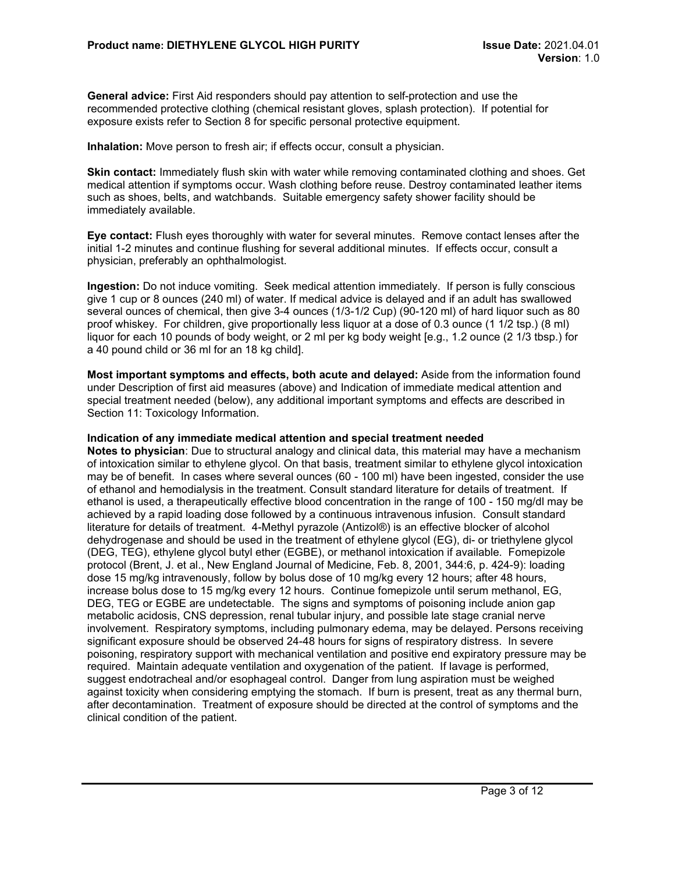**General advice:** First Aid responders should pay attention to self-protection and use the recommended protective clothing (chemical resistant gloves, splash protection). If potential for exposure exists refer to Section 8 for specific personal protective equipment.

**Inhalation:** Move person to fresh air; if effects occur, consult a physician.

**Skin contact:** Immediately flush skin with water while removing contaminated clothing and shoes. Get medical attention if symptoms occur. Wash clothing before reuse. Destroy contaminated leather items such as shoes, belts, and watchbands. Suitable emergency safety shower facility should be immediately available.

**Eye contact:** Flush eyes thoroughly with water for several minutes. Remove contact lenses after the initial 1-2 minutes and continue flushing for several additional minutes. If effects occur, consult a physician, preferably an ophthalmologist.

**Ingestion:** Do not induce vomiting. Seek medical attention immediately. If person is fully conscious give 1 cup or 8 ounces (240 ml) of water. If medical advice is delayed and if an adult has swallowed several ounces of chemical, then give 3-4 ounces (1/3-1/2 Cup) (90-120 ml) of hard liquor such as 80 proof whiskey. For children, give proportionally less liquor at a dose of 0.3 ounce (1 1/2 tsp.) (8 ml) liquor for each 10 pounds of body weight, or 2 ml per kg body weight [e.g., 1.2 ounce (2 1/3 tbsp.) for a 40 pound child or 36 ml for an 18 kg child].

**Most important symptoms and effects, both acute and delayed:** Aside from the information found under Description of first aid measures (above) and Indication of immediate medical attention and special treatment needed (below), any additional important symptoms and effects are described in Section 11: Toxicology Information.

#### **Indication of any immediate medical attention and special treatment needed**

**Notes to physician**: Due to structural analogy and clinical data, this material may have a mechanism of intoxication similar to ethylene glycol. On that basis, treatment similar to ethylene glycol intoxication may be of benefit. In cases where several ounces (60 - 100 ml) have been ingested, consider the use of ethanol and hemodialysis in the treatment. Consult standard literature for details of treatment. If ethanol is used, a therapeutically effective blood concentration in the range of 100 - 150 mg/dl may be achieved by a rapid loading dose followed by a continuous intravenous infusion. Consult standard literature for details of treatment. 4-Methyl pyrazole (Antizol®) is an effective blocker of alcohol dehydrogenase and should be used in the treatment of ethylene glycol (EG), di- or triethylene glycol (DEG, TEG), ethylene glycol butyl ether (EGBE), or methanol intoxication if available. Fomepizole protocol (Brent, J. et al., New England Journal of Medicine, Feb. 8, 2001, 344:6, p. 424-9): loading dose 15 mg/kg intravenously, follow by bolus dose of 10 mg/kg every 12 hours; after 48 hours, increase bolus dose to 15 mg/kg every 12 hours. Continue fomepizole until serum methanol, EG, DEG, TEG or EGBE are undetectable. The signs and symptoms of poisoning include anion gap metabolic acidosis, CNS depression, renal tubular injury, and possible late stage cranial nerve involvement. Respiratory symptoms, including pulmonary edema, may be delayed. Persons receiving significant exposure should be observed 24-48 hours for signs of respiratory distress. In severe poisoning, respiratory support with mechanical ventilation and positive end expiratory pressure may be required. Maintain adequate ventilation and oxygenation of the patient. If lavage is performed, suggest endotracheal and/or esophageal control. Danger from lung aspiration must be weighed against toxicity when considering emptying the stomach. If burn is present, treat as any thermal burn, after decontamination. Treatment of exposure should be directed at the control of symptoms and the clinical condition of the patient.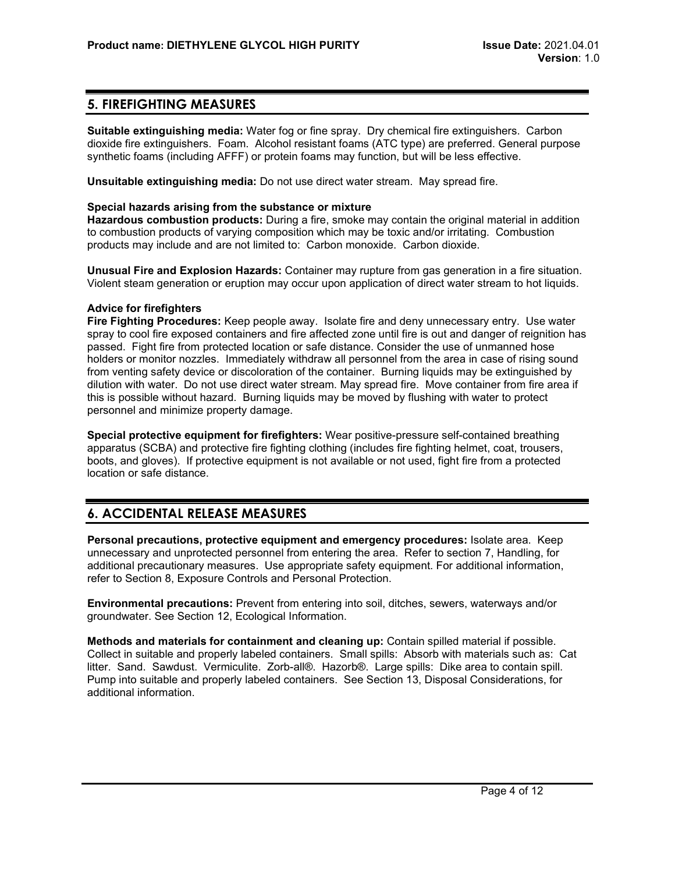# **5. FIREFIGHTING MEASURES**

**Suitable extinguishing media:** Water fog or fine spray. Dry chemical fire extinguishers. Carbon dioxide fire extinguishers. Foam. Alcohol resistant foams (ATC type) are preferred. General purpose synthetic foams (including AFFF) or protein foams may function, but will be less effective.

**Unsuitable extinguishing media:** Do not use direct water stream. May spread fire.

#### **Special hazards arising from the substance or mixture**

**Hazardous combustion products:** During a fire, smoke may contain the original material in addition to combustion products of varying composition which may be toxic and/or irritating. Combustion products may include and are not limited to: Carbon monoxide. Carbon dioxide.

**Unusual Fire and Explosion Hazards:** Container may rupture from gas generation in a fire situation. Violent steam generation or eruption may occur upon application of direct water stream to hot liquids.

#### **Advice for firefighters**

**Fire Fighting Procedures:** Keep people away. Isolate fire and deny unnecessary entry. Use water spray to cool fire exposed containers and fire affected zone until fire is out and danger of reignition has passed. Fight fire from protected location or safe distance. Consider the use of unmanned hose holders or monitor nozzles. Immediately withdraw all personnel from the area in case of rising sound from venting safety device or discoloration of the container. Burning liquids may be extinguished by dilution with water. Do not use direct water stream. May spread fire. Move container from fire area if this is possible without hazard. Burning liquids may be moved by flushing with water to protect personnel and minimize property damage.

**Special protective equipment for firefighters:** Wear positive-pressure self-contained breathing apparatus (SCBA) and protective fire fighting clothing (includes fire fighting helmet, coat, trousers, boots, and gloves). If protective equipment is not available or not used, fight fire from a protected location or safe distance.

# **6. ACCIDENTAL RELEASE MEASURES**

**Personal precautions, protective equipment and emergency procedures:** Isolate area. Keep unnecessary and unprotected personnel from entering the area. Refer to section 7, Handling, for additional precautionary measures. Use appropriate safety equipment. For additional information, refer to Section 8, Exposure Controls and Personal Protection.

**Environmental precautions:** Prevent from entering into soil, ditches, sewers, waterways and/or groundwater. See Section 12, Ecological Information.

**Methods and materials for containment and cleaning up:** Contain spilled material if possible. Collect in suitable and properly labeled containers. Small spills: Absorb with materials such as: Cat litter. Sand. Sawdust. Vermiculite. Zorb-all®. Hazorb®. Large spills: Dike area to contain spill. Pump into suitable and properly labeled containers. See Section 13, Disposal Considerations, for additional information.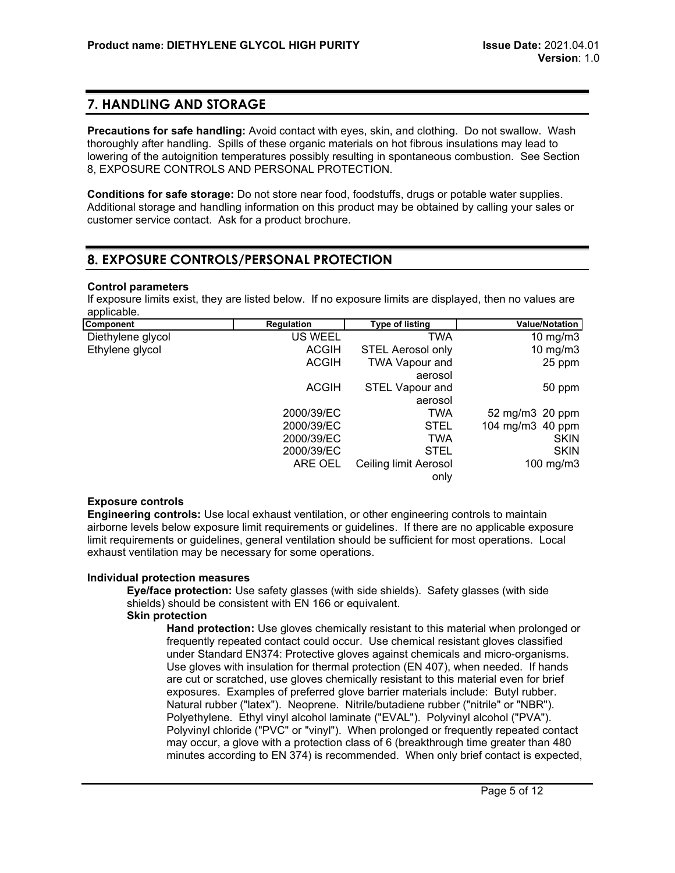## **7. HANDLING AND STORAGE**

**Precautions for safe handling:** Avoid contact with eyes, skin, and clothing. Do not swallow. Wash thoroughly after handling. Spills of these organic materials on hot fibrous insulations may lead to lowering of the autoignition temperatures possibly resulting in spontaneous combustion. See Section 8, EXPOSURE CONTROLS AND PERSONAL PROTECTION.

**Conditions for safe storage:** Do not store near food, foodstuffs, drugs or potable water supplies. Additional storage and handling information on this product may be obtained by calling your sales or customer service contact. Ask for a product brochure.

## **8. EXPOSURE CONTROLS/PERSONAL PROTECTION**

#### **Control parameters**

If exposure limits exist, they are listed below. If no exposure limits are displayed, then no values are applicable.

| <b>Component</b>  | <b>Regulation</b> | <b>Type of listing</b>       | <b>Value/Notation</b> |
|-------------------|-------------------|------------------------------|-----------------------|
| Diethylene glycol | US WEEL           | TWA                          | 10 mg/m $3$           |
| Ethylene glycol   | <b>ACGIH</b>      | <b>STEL Aerosol only</b>     | 10 mg/m $3$           |
|                   | <b>ACGIH</b>      | <b>TWA Vapour and</b>        | 25 ppm                |
|                   |                   | aerosol                      |                       |
|                   | <b>ACGIH</b>      | <b>STEL Vapour and</b>       | 50 ppm                |
|                   |                   | aerosol                      |                       |
|                   | 2000/39/EC        | <b>TWA</b>                   | 52 mg/m3 20 ppm       |
|                   | 2000/39/EC        | <b>STEL</b>                  | 104 mg/m3 40 ppm      |
|                   | 2000/39/EC        | <b>TWA</b>                   | <b>SKIN</b>           |
|                   | 2000/39/EC        | <b>STEL</b>                  | <b>SKIN</b>           |
|                   | ARE OEL           | <b>Ceiling limit Aerosol</b> | 100 mg/m3             |
|                   |                   | only                         |                       |

#### **Exposure controls**

**Engineering controls:** Use local exhaust ventilation, or other engineering controls to maintain airborne levels below exposure limit requirements or guidelines. If there are no applicable exposure limit requirements or guidelines, general ventilation should be sufficient for most operations. Local exhaust ventilation may be necessary for some operations.

#### **Individual protection measures**

**Eye/face protection:** Use safety glasses (with side shields). Safety glasses (with side shields) should be consistent with EN 166 or equivalent.

#### **Skin protection**

**Hand protection:** Use gloves chemically resistant to this material when prolonged or frequently repeated contact could occur. Use chemical resistant gloves classified under Standard EN374: Protective gloves against chemicals and micro-organisms. Use gloves with insulation for thermal protection (EN 407), when needed. If hands are cut or scratched, use gloves chemically resistant to this material even for brief exposures. Examples of preferred glove barrier materials include: Butyl rubber. Natural rubber ("latex"). Neoprene. Nitrile/butadiene rubber ("nitrile" or "NBR"). Polyethylene. Ethyl vinyl alcohol laminate ("EVAL"). Polyvinyl alcohol ("PVA"). Polyvinyl chloride ("PVC" or "vinyl"). When prolonged or frequently repeated contact may occur, a glove with a protection class of 6 (breakthrough time greater than 480 minutes according to EN 374) is recommended. When only brief contact is expected,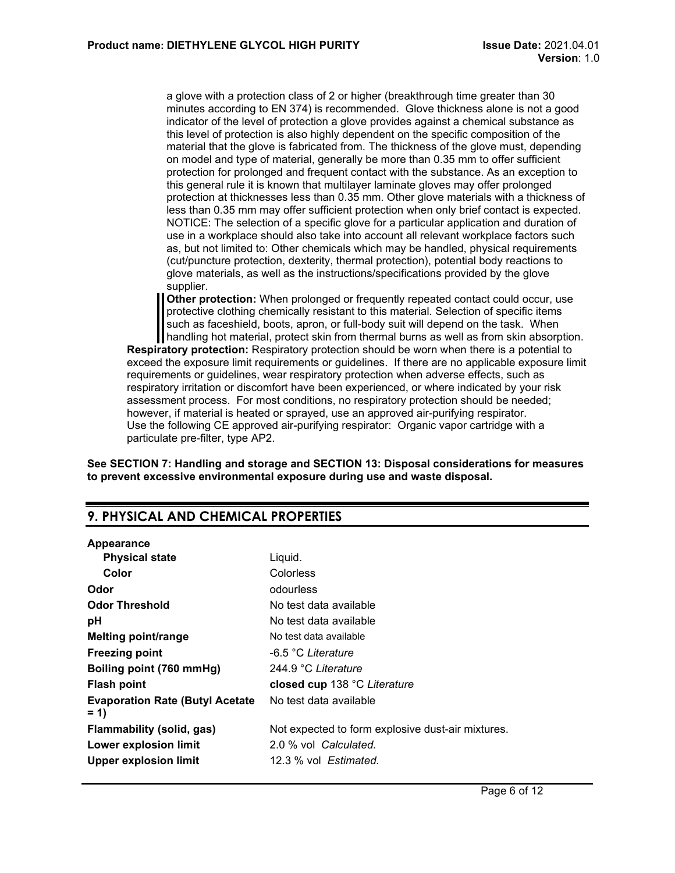a glove with a protection class of 2 or higher (breakthrough time greater than 30 minutes according to EN 374) is recommended. Glove thickness alone is not a good indicator of the level of protection a glove provides against a chemical substance as this level of protection is also highly dependent on the specific composition of the material that the glove is fabricated from. The thickness of the glove must, depending on model and type of material, generally be more than 0.35 mm to offer sufficient protection for prolonged and frequent contact with the substance. As an exception to this general rule it is known that multilayer laminate gloves may offer prolonged protection at thicknesses less than 0.35 mm. Other glove materials with a thickness of less than 0.35 mm may offer sufficient protection when only brief contact is expected. NOTICE: The selection of a specific glove for a particular application and duration of use in a workplace should also take into account all relevant workplace factors such as, but not limited to: Other chemicals which may be handled, physical requirements (cut/puncture protection, dexterity, thermal protection), potential body reactions to glove materials, as well as the instructions/specifications provided by the glove supplier.

**Other protection:** When prolonged or frequently repeated contact could occur, use protective clothing chemically resistant to this material. Selection of specific items such as faceshield, boots, apron, or full-body suit will depend on the task. When handling hot material, protect skin from thermal burns as well as from skin absorption.

**Respiratory protection:** Respiratory protection should be worn when there is a potential to exceed the exposure limit requirements or guidelines. If there are no applicable exposure limit requirements or guidelines, wear respiratory protection when adverse effects, such as respiratory irritation or discomfort have been experienced, or where indicated by your risk assessment process. For most conditions, no respiratory protection should be needed; however, if material is heated or sprayed, use an approved air-purifying respirator. Use the following CE approved air-purifying respirator: Organic vapor cartridge with a particulate pre-filter, type AP2.

**See SECTION 7: Handling and storage and SECTION 13: Disposal considerations for measures to prevent excessive environmental exposure during use and waste disposal.**

# **9. PHYSICAL AND CHEMICAL PROPERTIES**

#### **Appearance**

| <b>Physical state</b>                            | Liquid.                                           |
|--------------------------------------------------|---------------------------------------------------|
| Color                                            | Colorless                                         |
| Odor                                             | odourless                                         |
| <b>Odor Threshold</b>                            | No test data available                            |
| рH                                               | No test data available                            |
| <b>Melting point/range</b>                       | No test data available                            |
| <b>Freezing point</b>                            | -6.5 °C Literature                                |
| Boiling point (760 mmHg)                         | 244.9 °C Literature                               |
| <b>Flash point</b>                               | closed cup 138 °C Literature                      |
| <b>Evaporation Rate (Butyl Acetate)</b><br>$= 1$ | No test data available                            |
| <b>Flammability (solid, gas)</b>                 | Not expected to form explosive dust-air mixtures. |
| <b>Lower explosion limit</b>                     | 2.0 % vol Calculated.                             |
| <b>Upper explosion limit</b>                     | 12.3 % vol Estimated.                             |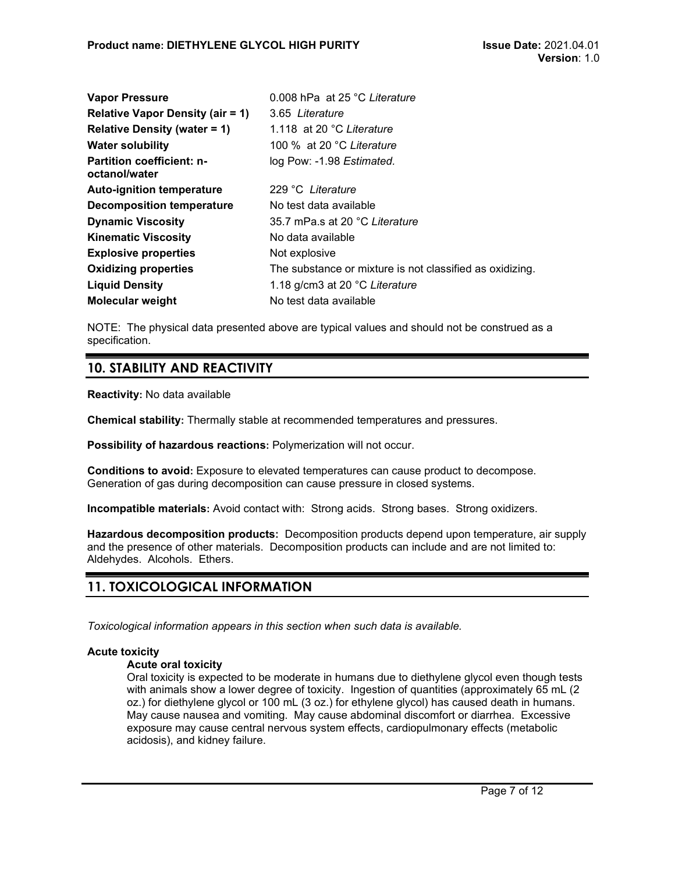| <b>Vapor Pressure</b>                             | 0.008 hPa at 25 °C Literature                            |
|---------------------------------------------------|----------------------------------------------------------|
| <b>Relative Vapor Density (air = 1)</b>           | 3.65 Literature                                          |
| <b>Relative Density (water = 1)</b>               | 1.118 at 20 °C Literature                                |
| <b>Water solubility</b>                           | 100 % at 20 °C Literature                                |
| <b>Partition coefficient: n-</b><br>octanol/water | log Pow: -1.98 Estimated.                                |
| <b>Auto-ignition temperature</b>                  | 229 °C Literature                                        |
| <b>Decomposition temperature</b>                  | No test data available                                   |
| <b>Dynamic Viscosity</b>                          | 35.7 mPa.s at 20 °C Literature                           |
| <b>Kinematic Viscosity</b>                        | No data available                                        |
| <b>Explosive properties</b>                       | Not explosive                                            |
| <b>Oxidizing properties</b>                       | The substance or mixture is not classified as oxidizing. |
| <b>Liquid Density</b>                             | 1.18 g/cm3 at 20 °C Literature                           |
| <b>Molecular weight</b>                           | No test data available                                   |

NOTE: The physical data presented above are typical values and should not be construed as a specification.

# **10. STABILITY AND REACTIVITY**

**Reactivity:** No data available

**Chemical stability:** Thermally stable at recommended temperatures and pressures.

**Possibility of hazardous reactions:** Polymerization will not occur.

**Conditions to avoid:** Exposure to elevated temperatures can cause product to decompose. Generation of gas during decomposition can cause pressure in closed systems.

**Incompatible materials:** Avoid contact with: Strong acids. Strong bases. Strong oxidizers.

**Hazardous decomposition products:** Decomposition products depend upon temperature, air supply and the presence of other materials. Decomposition products can include and are not limited to: Aldehydes. Alcohols. Ethers.

# **11. TOXICOLOGICAL INFORMATION**

*Toxicological information appears in this section when such data is available.*

### **Acute toxicity**

#### **Acute oral toxicity**

Oral toxicity is expected to be moderate in humans due to diethylene glycol even though tests with animals show a lower degree of toxicity. Ingestion of quantities (approximately 65 mL (2 oz.) for diethylene glycol or 100 mL (3 oz.) for ethylene glycol) has caused death in humans. May cause nausea and vomiting. May cause abdominal discomfort or diarrhea. Excessive exposure may cause central nervous system effects, cardiopulmonary effects (metabolic acidosis), and kidney failure.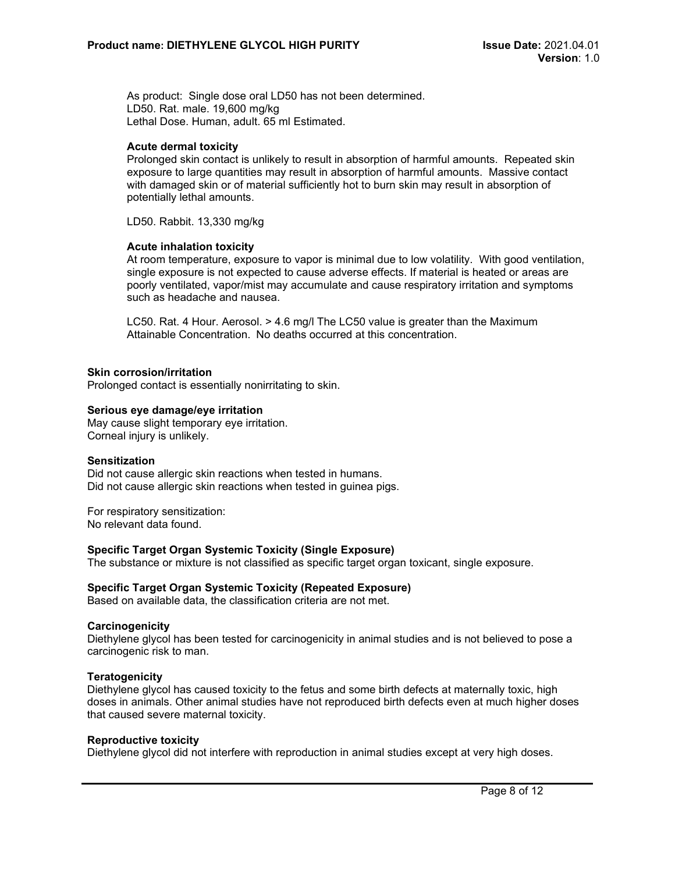As product: Single dose oral LD50 has not been determined. LD50. Rat. male. 19,600 mg/kg Lethal Dose. Human, adult. 65 ml Estimated.

#### **Acute dermal toxicity**

Prolonged skin contact is unlikely to result in absorption of harmful amounts. Repeated skin exposure to large quantities may result in absorption of harmful amounts. Massive contact with damaged skin or of material sufficiently hot to burn skin may result in absorption of potentially lethal amounts.

LD50. Rabbit. 13,330 mg/kg

#### **Acute inhalation toxicity**

At room temperature, exposure to vapor is minimal due to low volatility. With good ventilation, single exposure is not expected to cause adverse effects. If material is heated or areas are poorly ventilated, vapor/mist may accumulate and cause respiratory irritation and symptoms such as headache and nausea.

LC50. Rat. 4 Hour. Aerosol. > 4.6 mg/l The LC50 value is greater than the Maximum Attainable Concentration. No deaths occurred at this concentration.

#### **Skin corrosion/irritation**

Prolonged contact is essentially nonirritating to skin.

#### **Serious eye damage/eye irritation**

May cause slight temporary eye irritation. Corneal injury is unlikely.

#### **Sensitization**

Did not cause allergic skin reactions when tested in humans. Did not cause allergic skin reactions when tested in guinea pigs.

For respiratory sensitization: No relevant data found.

#### **Specific Target Organ Systemic Toxicity (Single Exposure)**

The substance or mixture is not classified as specific target organ toxicant, single exposure.

#### **Specific Target Organ Systemic Toxicity (Repeated Exposure)**

Based on available data, the classification criteria are not met.

#### **Carcinogenicity**

Diethylene glycol has been tested for carcinogenicity in animal studies and is not believed to pose a carcinogenic risk to man.

#### **Teratogenicity**

Diethylene glycol has caused toxicity to the fetus and some birth defects at maternally toxic, high doses in animals. Other animal studies have not reproduced birth defects even at much higher doses that caused severe maternal toxicity.

#### **Reproductive toxicity**

Diethylene glycol did not interfere with reproduction in animal studies except at very high doses.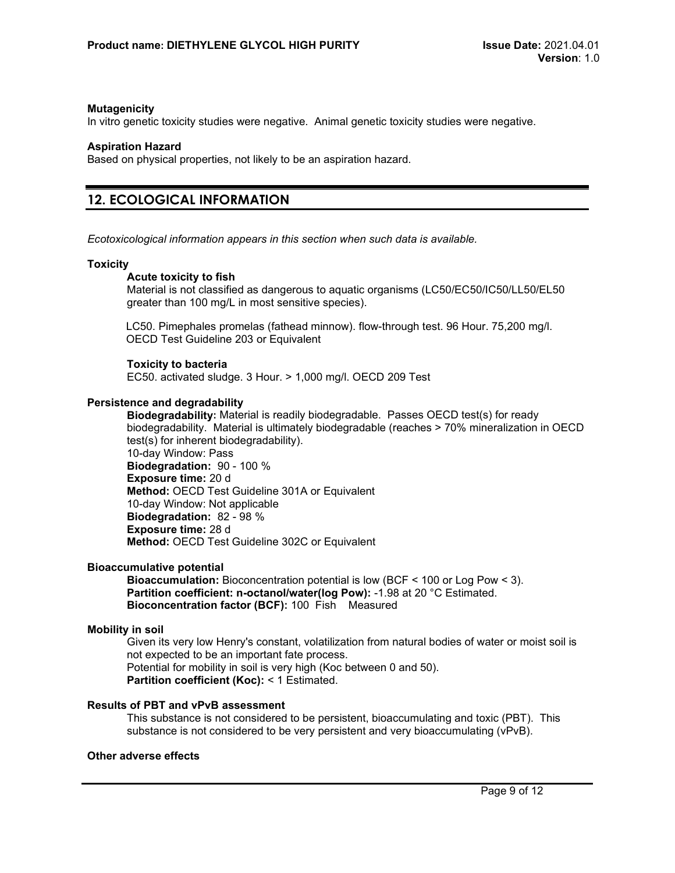#### **Mutagenicity**

In vitro genetic toxicity studies were negative. Animal genetic toxicity studies were negative.

#### **Aspiration Hazard**

Based on physical properties, not likely to be an aspiration hazard.

# **12. ECOLOGICAL INFORMATION**

*Ecotoxicological information appears in this section when such data is available.*

#### **Toxicity**

#### **Acute toxicity to fish**

Material is not classified as dangerous to aquatic organisms (LC50/EC50/IC50/LL50/EL50 greater than 100 mg/L in most sensitive species).

LC50. Pimephales promelas (fathead minnow). flow-through test. 96 Hour. 75,200 mg/l. OECD Test Guideline 203 or Equivalent

#### **Toxicity to bacteria**

EC50. activated sludge. 3 Hour. > 1,000 mg/l. OECD 209 Test

#### **Persistence and degradability**

**Biodegradability:** Material is readily biodegradable. Passes OECD test(s) for ready biodegradability. Material is ultimately biodegradable (reaches > 70% mineralization in OECD test(s) for inherent biodegradability). 10-day Window: Pass **Biodegradation:** 90 - 100 % **Exposure time:** 20 d **Method:** OECD Test Guideline 301A or Equivalent 10-day Window: Not applicable

**Biodegradation:** 82 - 98 % **Exposure time:** 28 d **Method:** OECD Test Guideline 302C or Equivalent

#### **Bioaccumulative potential**

**Bioaccumulation:** Bioconcentration potential is low (BCF < 100 or Log Pow < 3). **Partition coefficient: n-octanol/water(log Pow):** -1.98 at 20 °C Estimated. **Bioconcentration factor (BCF):** 100 Fish Measured

#### **Mobility in soil**

Given its very low Henry's constant, volatilization from natural bodies of water or moist soil is not expected to be an important fate process. Potential for mobility in soil is very high (Koc between 0 and 50). **Partition coefficient (Koc):** < 1 Estimated.

#### **Results of PBT and vPvB assessment**

This substance is not considered to be persistent, bioaccumulating and toxic (PBT). This substance is not considered to be very persistent and very bioaccumulating (vPvB).

#### **Other adverse effects**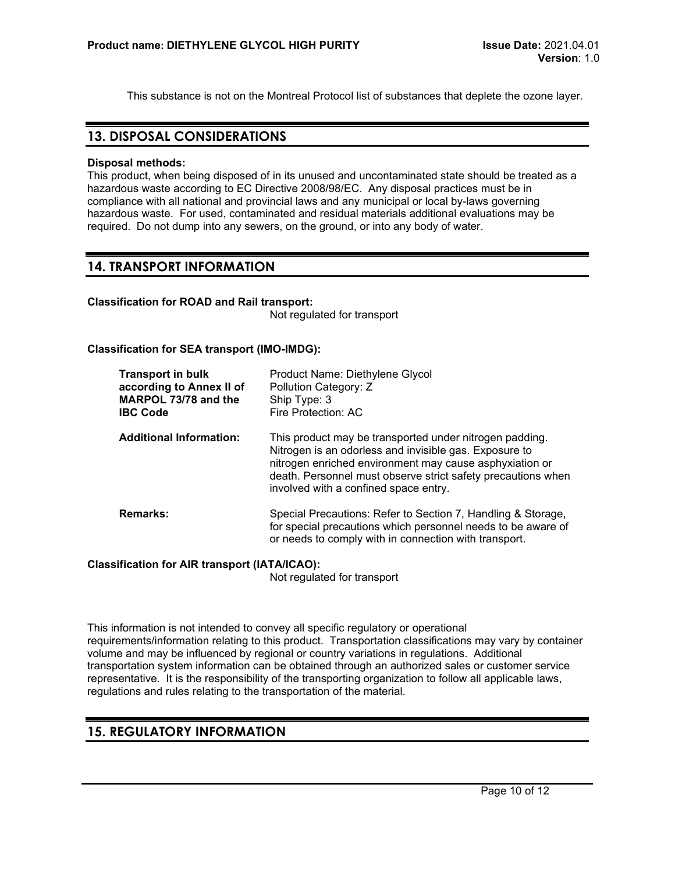This substance is not on the Montreal Protocol list of substances that deplete the ozone layer.

## **13. DISPOSAL CONSIDERATIONS**

#### **Disposal methods:**

This product, when being disposed of in its unused and uncontaminated state should be treated as a hazardous waste according to EC Directive 2008/98/EC. Any disposal practices must be in compliance with all national and provincial laws and any municipal or local by-laws governing hazardous waste. For used, contaminated and residual materials additional evaluations may be required. Do not dump into any sewers, on the ground, or into any body of water.

## **14. TRANSPORT INFORMATION**

#### **Classification for ROAD and Rail transport:**

Not regulated for transport

#### **Classification for SEA transport (IMO-IMDG):**

| <b>Transport in bulk</b><br>according to Annex II of<br>MARPOL 73/78 and the<br><b>IBC Code</b> | Product Name: Diethylene Glycol<br>Pollution Category: Z<br>Ship Type: 3<br>Fire Protection: AC                                                                                                                                                                                       |
|-------------------------------------------------------------------------------------------------|---------------------------------------------------------------------------------------------------------------------------------------------------------------------------------------------------------------------------------------------------------------------------------------|
| <b>Additional Information:</b>                                                                  | This product may be transported under nitrogen padding.<br>Nitrogen is an odorless and invisible gas. Exposure to<br>nitrogen enriched environment may cause asphyxiation or<br>death. Personnel must observe strict safety precautions when<br>involved with a confined space entry. |
| <b>Remarks:</b>                                                                                 | Special Precautions: Refer to Section 7, Handling & Storage,<br>for special precautions which personnel needs to be aware of<br>or needs to comply with in connection with transport.                                                                                                 |

#### **Classification for AIR transport (IATA/ICAO):**

Not regulated for transport

This information is not intended to convey all specific regulatory or operational requirements/information relating to this product. Transportation classifications may vary by container volume and may be influenced by regional or country variations in regulations. Additional transportation system information can be obtained through an authorized sales or customer service representative. It is the responsibility of the transporting organization to follow all applicable laws, regulations and rules relating to the transportation of the material.

# **15. REGULATORY INFORMATION**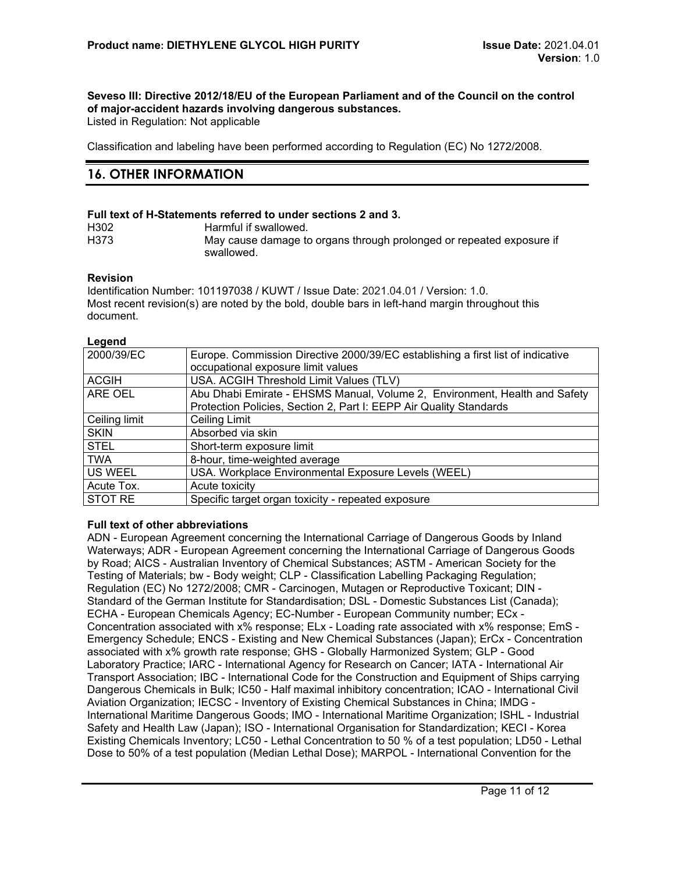# **Seveso III: Directive 2012/18/EU of the European Parliament and of the Council on the control of major-accident hazards involving dangerous substances.**

Listed in Regulation: Not applicable

Classification and labeling have been performed according to Regulation (EC) No 1272/2008.

# **16. OTHER INFORMATION**

#### **Full text of H-Statements referred to under sections 2 and 3.**

| H <sub>302</sub>  | Harmful if swallowed.                                                |
|-------------------|----------------------------------------------------------------------|
| H <sub>3</sub> 73 | May cause damage to organs through prolonged or repeated exposure if |
|                   | swallowed.                                                           |

#### **Revision**

Identification Number: 101197038 / KUWT / Issue Date: 2021.04.01 / Version: 1.0. Most recent revision(s) are noted by the bold, double bars in left-hand margin throughout this document.

#### **Legend**

| 2000/39/EC     | Europe. Commission Directive 2000/39/EC establishing a first list of indicative |
|----------------|---------------------------------------------------------------------------------|
|                | occupational exposure limit values                                              |
| <b>ACGIH</b>   | USA. ACGIH Threshold Limit Values (TLV)                                         |
| <b>ARE OEL</b> | Abu Dhabi Emirate - EHSMS Manual, Volume 2, Environment, Health and Safety      |
|                | Protection Policies, Section 2, Part I: EEPP Air Quality Standards              |
| Ceiling limit  | Ceiling Limit                                                                   |
| <b>SKIN</b>    | Absorbed via skin                                                               |
| <b>STEL</b>    | Short-term exposure limit                                                       |
| <b>TWA</b>     | 8-hour, time-weighted average                                                   |
| US WEEL        | USA. Workplace Environmental Exposure Levels (WEEL)                             |
| Acute Tox.     | Acute toxicity                                                                  |
| <b>STOT RE</b> | Specific target organ toxicity - repeated exposure                              |

#### **Full text of other abbreviations**

ADN - European Agreement concerning the International Carriage of Dangerous Goods by Inland Waterways; ADR - European Agreement concerning the International Carriage of Dangerous Goods by Road; AICS - Australian Inventory of Chemical Substances; ASTM - American Society for the Testing of Materials; bw - Body weight; CLP - Classification Labelling Packaging Regulation; Regulation (EC) No 1272/2008; CMR - Carcinogen, Mutagen or Reproductive Toxicant; DIN - Standard of the German Institute for Standardisation; DSL - Domestic Substances List (Canada); ECHA - European Chemicals Agency; EC-Number - European Community number; ECx - Concentration associated with x% response; ELx - Loading rate associated with x% response; EmS - Emergency Schedule; ENCS - Existing and New Chemical Substances (Japan); ErCx - Concentration associated with x% growth rate response; GHS - Globally Harmonized System; GLP - Good Laboratory Practice; IARC - International Agency for Research on Cancer; IATA - International Air Transport Association; IBC - International Code for the Construction and Equipment of Ships carrying Dangerous Chemicals in Bulk; IC50 - Half maximal inhibitory concentration; ICAO - International Civil Aviation Organization; IECSC - Inventory of Existing Chemical Substances in China; IMDG - International Maritime Dangerous Goods; IMO - International Maritime Organization; ISHL - Industrial Safety and Health Law (Japan); ISO - International Organisation for Standardization; KECI - Korea Existing Chemicals Inventory; LC50 - Lethal Concentration to 50 % of a test population; LD50 - Lethal Dose to 50% of a test population (Median Lethal Dose); MARPOL - International Convention for the